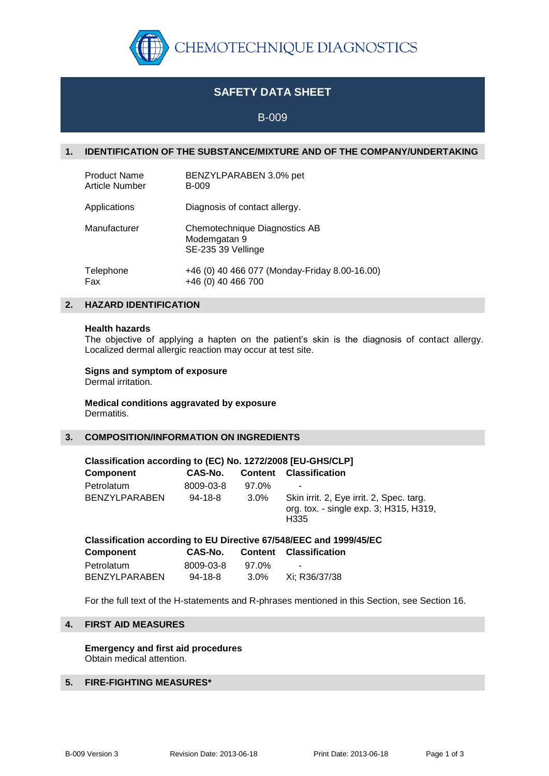

# **SAFETY DATA SHEET**

# B-009

# **1. IDENTIFICATION OF THE SUBSTANCE/MIXTURE AND OF THE COMPANY/UNDERTAKING**

| <b>Product Name</b>   | BENZYLPARABEN 3.0% pet                                              |
|-----------------------|---------------------------------------------------------------------|
| <b>Article Number</b> | <b>B-009</b>                                                        |
| Applications          | Diagnosis of contact allergy.                                       |
| Manufacturer          | Chemotechnique Diagnostics AB<br>Modemgatan 9<br>SE-235 39 Vellinge |
| Telephone             | +46 (0) 40 466 077 (Monday-Friday 8.00-16.00)                       |
| Fax                   | +46 (0) 40 466 700                                                  |

# **2. HAZARD IDENTIFICATION**

#### **Health hazards**

The objective of applying a hapten on the patient's skin is the diagnosis of contact allergy. Localized dermal allergic reaction may occur at test site.

# **Signs and symptom of exposure**

Dermal irritation.

#### **Medical conditions aggravated by exposure** Dermatitis.

### **3. COMPOSITION/INFORMATION ON INGREDIENTS**

| Classification according to (EC) No. 1272/2008 [EU-GHS/CLP]        |               |                |                                                                                                        |  |  |  |
|--------------------------------------------------------------------|---------------|----------------|--------------------------------------------------------------------------------------------------------|--|--|--|
| <b>Component</b>                                                   | CAS-No.       | <b>Content</b> | <b>Classification</b>                                                                                  |  |  |  |
| Petrolatum                                                         | 8009-03-8     | 97.0%          |                                                                                                        |  |  |  |
| <b>BENZYLPARABEN</b>                                               | $94 - 18 - 8$ | $3.0\%$        | Skin irrit. 2, Eye irrit. 2, Spec. targ.<br>org. tox. - single exp. 3; H315, H319,<br>H <sub>335</sub> |  |  |  |
| Classification according to EU Directive 67/548/EEC and 1999/45/EC |               |                |                                                                                                        |  |  |  |

| Classification according to EQ Directive 677546/EEC and 1999/45 |               |       |                               |  |
|-----------------------------------------------------------------|---------------|-------|-------------------------------|--|
| Component                                                       | CAS-No.       |       | <b>Content Classification</b> |  |
| Petrolatum                                                      | 8009-03-8     | 97.0% | $\sim$                        |  |
| BENZYLPARABEN                                                   | $94 - 18 - 8$ | 3.0%  | Xi: R36/37/38                 |  |

For the full text of the H-statements and R-phrases mentioned in this Section, see Section 16.

# **4. FIRST AID MEASURES**

**Emergency and first aid procedures** Obtain medical attention.

# **5. FIRE-FIGHTING MEASURES\***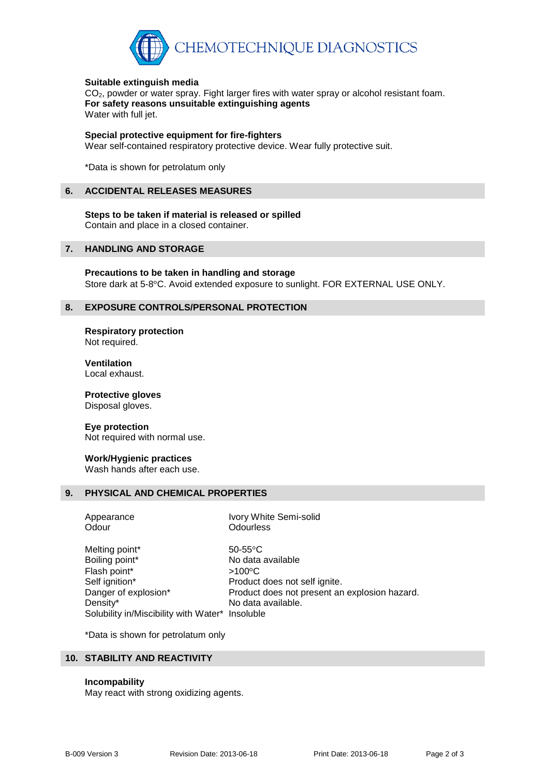

### **Suitable extinguish media**

CO<sub>2</sub>, powder or water spray. Fight larger fires with water spray or alcohol resistant foam. **For safety reasons unsuitable extinguishing agents** Water with full jet.

### **Special protective equipment for fire-fighters**

Wear self-contained respiratory protective device. Wear fully protective suit.

\*Data is shown for petrolatum only

### **6. ACCIDENTAL RELEASES MEASURES**

**Steps to be taken if material is released or spilled** Contain and place in a closed container.

# **7. HANDLING AND STORAGE**

**Precautions to be taken in handling and storage** Store dark at 5-8°C. Avoid extended exposure to sunlight. FOR EXTERNAL USE ONLY.

# **8. EXPOSURE CONTROLS/PERSONAL PROTECTION**

**Respiratory protection** Not required.

**Ventilation** Local exhaust.

**Protective gloves** Disposal gloves.

### **Eye protection** Not required with normal use.

# **Work/Hygienic practices**

Wash hands after each use.

# **9. PHYSICAL AND CHEMICAL PROPERTIES**

| Appearance                                      | Ivory White Semi-solid                        |
|-------------------------------------------------|-----------------------------------------------|
| Odour                                           | <b>Odourless</b>                              |
| Melting point*                                  | $50-55$ °C                                    |
| Boiling point*                                  | No data available                             |
| Flash point*                                    | $>100^{\circ}$ C                              |
| Self ignition*                                  | Product does not self ignite.                 |
| Danger of explosion*                            | Product does not present an explosion hazard. |
| Density*                                        | No data available.                            |
| Solubility in/Miscibility with Water* Insoluble |                                               |

\*Data is shown for petrolatum only

# **10. STABILITY AND REACTIVITY**

### **Incompability**

May react with strong oxidizing agents.